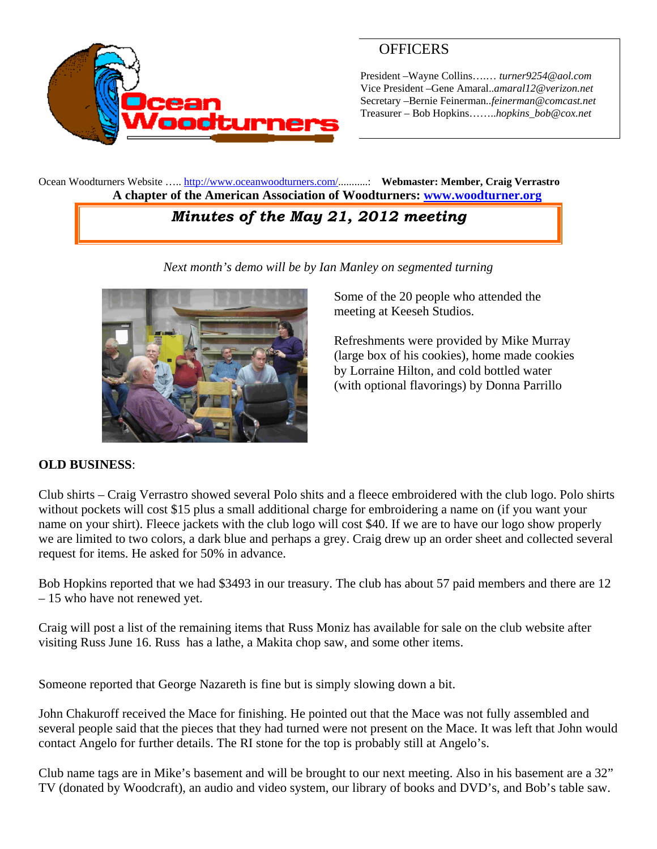

## **OFFICERS**

President –Wayne Collins….… *turner9254@aol.com*  Vice President –Gene Amaral..*amaral12@verizon.net* Secretary –Bernie Feinerman*..feinerman@comcast.net*  Treasurer – Bob Hopkins……..*hopkins\_bob@cox.net*

Ocean Woodturners Website ….. http://www.oceanwoodturners.com/...........: **Webmaster: Member, Craig Verrastro A chapter of the American Association of Woodturners: www.woodturner.org** 

# *Minutes of the May 21, 2012 meeting*

*Next month's demo will be by Ian Manley on segmented turning* 



Some of the 20 people who attended the meeting at Keeseh Studios.

Refreshments were provided by Mike Murray (large box of his cookies), home made cookies by Lorraine Hilton, and cold bottled water (with optional flavorings) by Donna Parrillo

### **OLD BUSINESS**:

Club shirts – Craig Verrastro showed several Polo shits and a fleece embroidered with the club logo. Polo shirts without pockets will cost \$15 plus a small additional charge for embroidering a name on (if you want your name on your shirt). Fleece jackets with the club logo will cost \$40. If we are to have our logo show properly we are limited to two colors, a dark blue and perhaps a grey. Craig drew up an order sheet and collected several request for items. He asked for 50% in advance.

Bob Hopkins reported that we had \$3493 in our treasury. The club has about 57 paid members and there are 12 – 15 who have not renewed yet.

Craig will post a list of the remaining items that Russ Moniz has available for sale on the club website after visiting Russ June 16. Russ has a lathe, a Makita chop saw, and some other items.

Someone reported that George Nazareth is fine but is simply slowing down a bit.

John Chakuroff received the Mace for finishing. He pointed out that the Mace was not fully assembled and several people said that the pieces that they had turned were not present on the Mace. It was left that John would contact Angelo for further details. The RI stone for the top is probably still at Angelo's.

Club name tags are in Mike's basement and will be brought to our next meeting. Also in his basement are a 32" TV (donated by Woodcraft), an audio and video system, our library of books and DVD's, and Bob's table saw.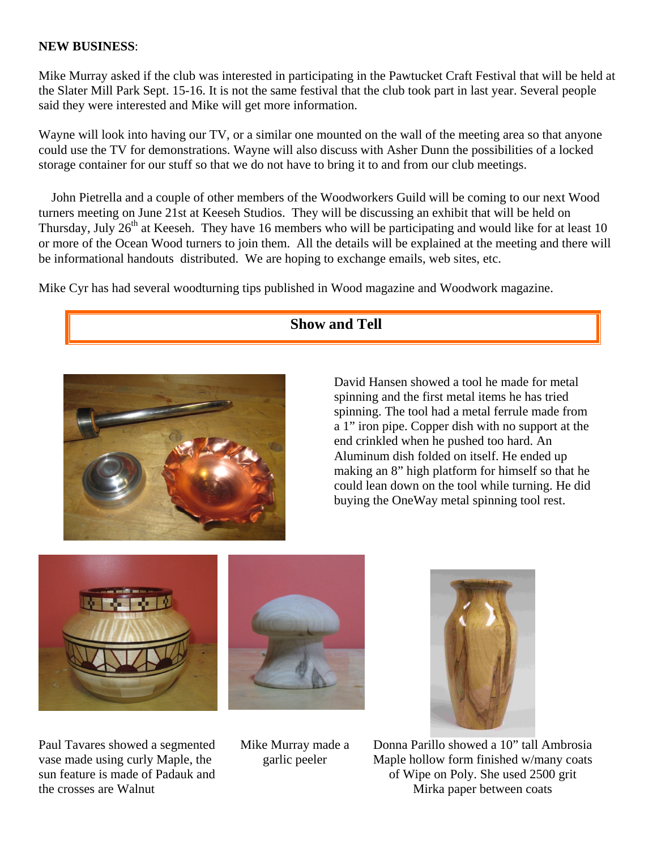#### **NEW BUSINESS**:

Mike Murray asked if the club was interested in participating in the Pawtucket Craft Festival that will be held at the Slater Mill Park Sept. 15-16. It is not the same festival that the club took part in last year. Several people said they were interested and Mike will get more information.

Wayne will look into having our TV, or a similar one mounted on the wall of the meeting area so that anyone could use the TV for demonstrations. Wayne will also discuss with Asher Dunn the possibilities of a locked storage container for our stuff so that we do not have to bring it to and from our club meetings.

 John Pietrella and a couple of other members of the Woodworkers Guild will be coming to our next Wood turners meeting on June 21st at Keeseh Studios. They will be discussing an exhibit that will be held on Thursday, July  $26<sup>th</sup>$  at Keeseh. They have 16 members who will be participating and would like for at least 10 or more of the Ocean Wood turners to join them. All the details will be explained at the meeting and there will be informational handouts distributed. We are hoping to exchange emails, web sites, etc.

Mike Cyr has had several woodturning tips published in Wood magazine and Woodwork magazine.

### **Show and Tell**



David Hansen showed a tool he made for metal spinning and the first metal items he has tried spinning. The tool had a metal ferrule made from a 1" iron pipe. Copper dish with no support at the end crinkled when he pushed too hard. An Aluminum dish folded on itself. He ended up making an 8" high platform for himself so that he could lean down on the tool while turning. He did buying the OneWay metal spinning tool rest.



Paul Tavares showed a segmented vase made using curly Maple, the sun feature is made of Padauk and the crosses are Walnut





Donna Parillo showed a 10" tall Ambrosia Maple hollow form finished w/many coats of Wipe on Poly. She used 2500 grit Mirka paper between coats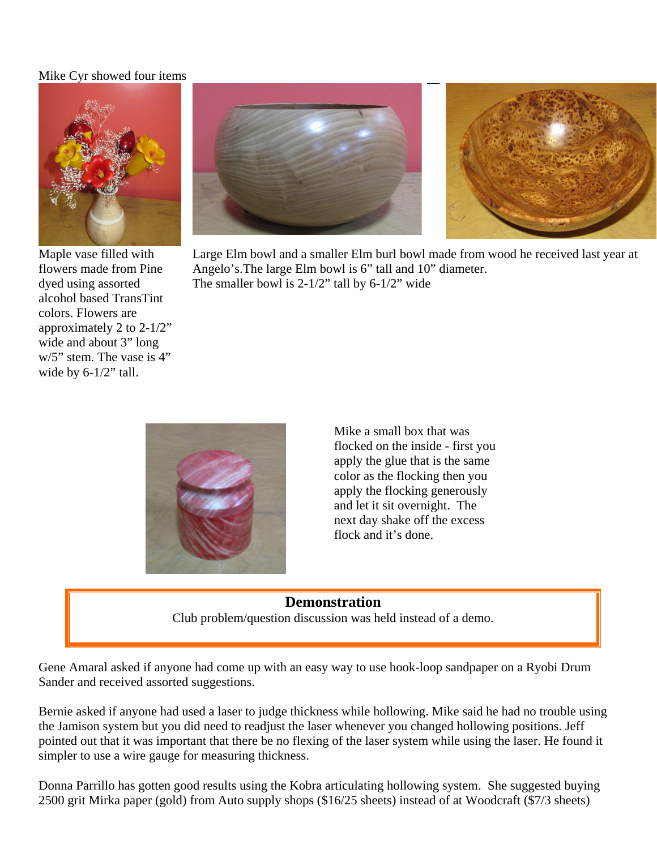#### Mike Cyr showed four items



Maple vase filled with flowers made from Pine dyed using assorted alcohol based TransTint colors. Flowers are approximately 2 to 2-1/2" wide and about 3" long w/5" stem. The vase is 4" wide by 6-1/2" tall.





Large Elm bowl and a smaller Elm burl bowl made from wood he received last year at Angelo's.The large Elm bowl is 6" tall and 10" diameter. The smaller bowl is  $2-1/2$ " tall by  $6-1/2$ " wide



Mike a small box that was flocked on the inside - first you apply the glue that is the same color as the flocking then you apply the flocking generously and let it sit overnight. The next day shake off the excess flock and it's done.

# **Demonstration**  Club problem/question discussion was held instead of a demo.

Gene Amaral asked if anyone had come up with an easy way to use hook-loop sandpaper on a Ryobi Drum Sander and received assorted suggestions.

Bernie asked if anyone had used a laser to judge thickness while hollowing. Mike said he had no trouble using the Jamison system but you did need to readjust the laser whenever you changed hollowing positions. Jeff pointed out that it was important that there be no flexing of the laser system while using the laser. He found it simpler to use a wire gauge for measuring thickness.

Donna Parrillo has gotten good results using the Kobra articulating hollowing system. She suggested buying 2500 grit Mirka paper (gold) from Auto supply shops (\$16/25 sheets) instead of at Woodcraft (\$7/3 sheets)